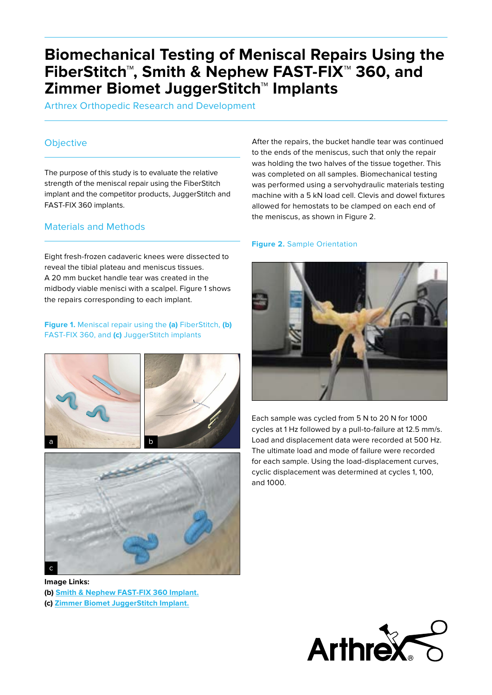# **Biomechanical Testing of Meniscal Repairs Using the FiberStitch™, Smith & Nephew FAST-FIX™ 360, and Zimmer Biomet JuggerStitch™ Implants**

Arthrex Orthopedic Research and Development

## **Objective**

The purpose of this study is to evaluate the relative strength of the meniscal repair using the FiberStitch implant and the competitor products, JuggerStitch and FAST-FIX 360 implants.

## Materials and Methods

Eight fresh-frozen cadaveric knees were dissected to reveal the tibial plateau and meniscus tissues. A 20 mm bucket handle tear was created in the midbody viable menisci with a scalpel. Figure 1 shows the repairs corresponding to each implant.

#### **Figure 1.** Meniscal repair using the **(a)** FiberStitch, **(b)** FAST-FIX 360, and **(c)** JuggerStitch implants





**Image Links: (b) [Smith & Nephew FAST-FIX 360 Implant.](https://www.smith-nephew.com/global/images/other/country/fx_technique4.jpg) (c) [Zimmer Biomet JuggerStitch Implant.](https://www.zimmerbiomet.com/content/zimmerbiomet/nam/zb-web-us/en/medical-professionals/sports-medicine/product/juggerstitch-meniscal-repair-device/_jcr_content/descriptionpar/textimage_52a7/image.img.jpg/1577195901331.jpg)**

After the repairs, the bucket handle tear was continued to the ends of the meniscus, such that only the repair was holding the two halves of the tissue together. This was completed on all samples. Biomechanical testing was performed using a servohydraulic materials testing machine with a 5 kN load cell. Clevis and dowel fixtures allowed for hemostats to be clamped on each end of the meniscus, as shown in Figure 2.

#### **Figure 2.** Sample Orientation



Each sample was cycled from 5 N to 20 N for 1000 cycles at 1 Hz followed by a pull-to-failure at 12.5 mm/s. Load and displacement data were recorded at 500 Hz. The ultimate load and mode of failure were recorded for each sample. Using the load-displacement curves, cyclic displacement was determined at cycles 1, 100, and 1000.